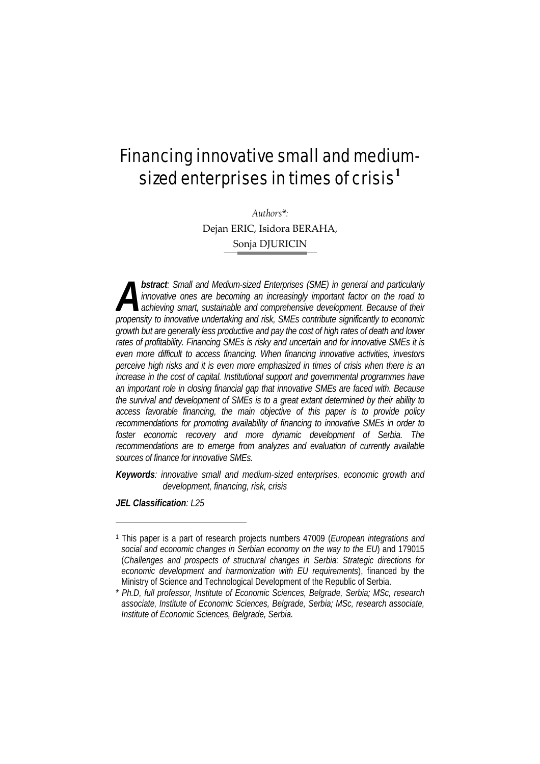# Financing innovative small and mediumsized enterprises in times of crisis**<sup>1</sup>**

*Authors\*:*  Dejan ERIC, Isidora BERAHA, Sonja DJURICIN

*bstract: Small and Medium-sized Enterprises (SME) in general and particularly innovative ones are becoming an increasingly important factor on the road to*  **achieving smart, sustainable and comprehensive development. Because of their propertively** innovative ones are becoming an increasingly important factor on the road to achieving smart, sustainable and comprehensive development. Because of their propensity to innovative undertaking and risk, SMEs c *growth but are generally less productive and pay the cost of high rates of death and lower rates of profitability. Financing SMEs is risky and uncertain and for innovative SMEs it is even more difficult to access financing. When financing innovative activities, investors perceive high risks and it is even more emphasized in times of crisis when there is an increase in the cost of capital. Institutional support and governmental programmes have an important role in closing financial gap that innovative SMEs are faced with. Because the survival and development of SMEs is to a great extant determined by their ability to access favorable financing, the main objective of this paper is to provide policy recommendations for promoting availability of financing to innovative SMEs in order to foster economic recovery and more dynamic development of Serbia. The recommendations are to emerge from analyzes and evaluation of currently available sources of finance for innovative SMEs.* 

*Keywords: innovative small and medium-sized enterprises, economic growth and development, financing, risk, crisis* 

*JEL Classification: L25*

<sup>1</sup> This paper is a part of research projects numbers 47009 (*European integrations and social and economic changes in Serbian economy on the way to the EU*) and 179015 (*Challenges and prospects of structural changes in Serbia: Strategic directions for economic development and harmonization with EU requirements*), financed by the Ministry of Science and Technological Development of the Republic of Serbia.

<sup>\*</sup> *Ph.D, full professor, Institute of Economic Sciences, Belgrade, Serbia; MSc, research associate, Institute of Economic Sciences, Belgrade, Serbia; MSc, research associate, Institute of Economic Sciences, Belgrade, Serbia.*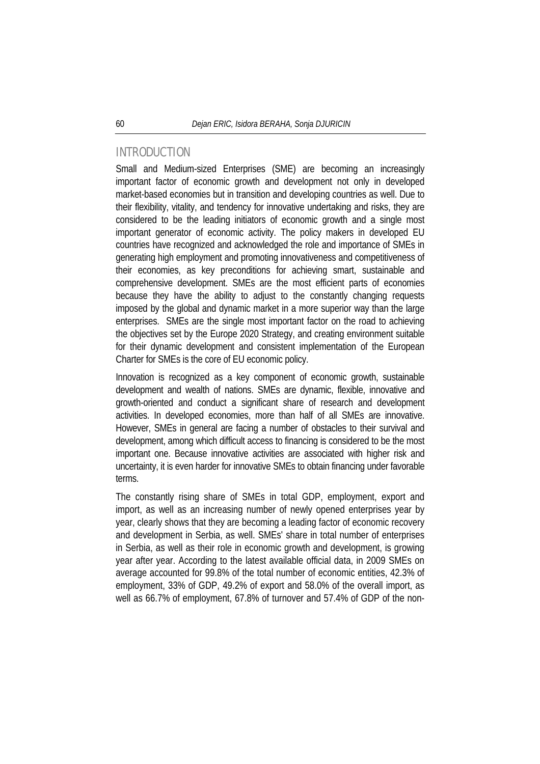### INTRODUCTION

Small and Medium-sized Enterprises (SME) are becoming an increasingly important factor of economic growth and development not only in developed market-based economies but in transition and developing countries as well. Due to their flexibility, vitality, and tendency for innovative undertaking and risks, they are considered to be the leading initiators of economic growth and a single most important generator of economic activity. The policy makers in developed EU countries have recognized and acknowledged the role and importance of SMEs in generating high employment and promoting innovativeness and competitiveness of their economies, as key preconditions for achieving smart, sustainable and comprehensive development. SMEs are the most efficient parts of economies because they have the ability to adjust to the constantly changing requests imposed by the global and dynamic market in a more superior way than the large enterprises. SMEs are the single most important factor on the road to achieving the objectives set by the Europe 2020 Strategy, and creating environment suitable for their dynamic development and consistent implementation of the European Charter for SMEs is the core of EU economic policy.

Innovation is recognized as a key component of economic growth, sustainable development and wealth of nations. SMEs are dynamic, flexible, innovative and growth-oriented and conduct a significant share of research and development activities. In developed economies, more than half of all SMEs are innovative. However, SMEs in general are facing a number of obstacles to their survival and development, among which difficult access to financing is considered to be the most important one. Because innovative activities are associated with higher risk and uncertainty, it is even harder for innovative SMEs to obtain financing under favorable terms.

The constantly rising share of SMEs in total GDP, employment, export and import, as well as an increasing number of newly opened enterprises year by year, clearly shows that they are becoming a leading factor of economic recovery and development in Serbia, as well. SMEs' share in total number of enterprises in Serbia, as well as their role in economic growth and development, is growing year after year. According to the latest available official data, in 2009 SMEs on average accounted for 99.8% of the total number of economic entities, 42.3% of employment, 33% of GDP, 49.2% of export and 58.0% of the overall import, as well as 66.7% of employment, 67.8% of turnover and 57.4% of GDP of the non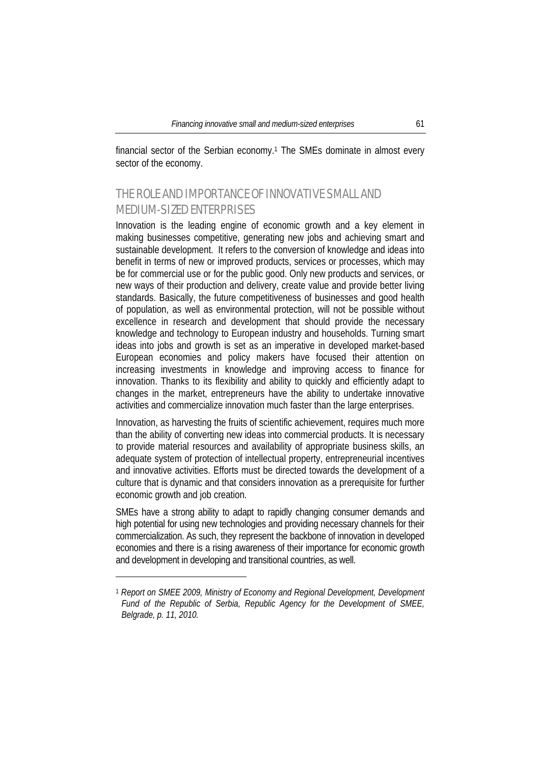financial sector of the Serbian economy.1 The SMEs dominate in almost every sector of the economy.

# THE ROLE AND IMPORTANCE OF INNOVATIVE SMALL AND MEDIUM-SIZED ENTERPRISES

Innovation is the leading engine of economic growth and a key element in making businesses competitive, generating new jobs and achieving smart and sustainable development. It refers to the conversion of knowledge and ideas into benefit in terms of new or improved products, services or processes, which may be for commercial use or for the public good. Only new products and services, or new ways of their production and delivery, create value and provide better living standards. Basically, the future competitiveness of businesses and good health of population, as well as environmental protection, will not be possible without excellence in research and development that should provide the necessary knowledge and technology to European industry and households. Turning smart ideas into jobs and growth is set as an imperative in developed market-based European economies and policy makers have focused their attention on increasing investments in knowledge and improving access to finance for innovation. Thanks to its flexibility and ability to quickly and efficiently adapt to changes in the market, entrepreneurs have the ability to undertake innovative activities and commercialize innovation much faster than the large enterprises.

Innovation, as harvesting the fruits of scientific achievement, requires much more than the ability of converting new ideas into commercial products. It is necessary to provide material resources and availability of appropriate business skills, an adequate system of protection of intellectual property, entrepreneurial incentives and innovative activities. Efforts must be directed towards the development of a culture that is dynamic and that considers innovation as a prerequisite for further economic growth and job creation.

SMEs have a strong ability to adapt to rapidly changing consumer demands and high potential for using new technologies and providing necessary channels for their commercialization. As such, they represent the backbone of innovation in developed economies and there is a rising awareness of their importance for economic growth and development in developing and transitional countries, as well.

<sup>1</sup> *Report on SMEE 2009, Ministry of Economy and Regional Development, Development Fund of the Republic of Serbia, Republic Agency for the Development of SMEE, Belgrade, p. 11, 2010.*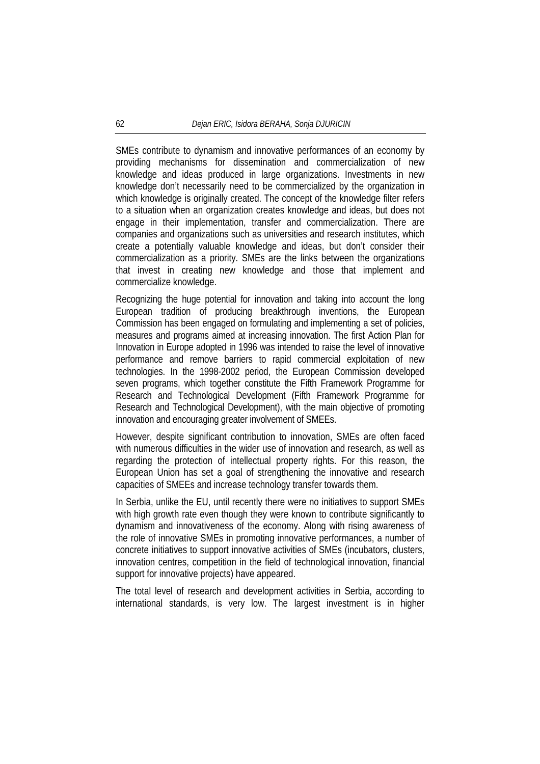SMEs contribute to dynamism and innovative performances of an economy by providing mechanisms for dissemination and commercialization of new knowledge and ideas produced in large organizations. Investments in new knowledge don't necessarily need to be commercialized by the organization in which knowledge is originally created. The concept of the knowledge filter refers to a situation when an organization creates knowledge and ideas, but does not engage in their implementation, transfer and commercialization. There are companies and organizations such as universities and research institutes, which create a potentially valuable knowledge and ideas, but don't consider their commercialization as a priority. SMEs are the links between the organizations that invest in creating new knowledge and those that implement and commercialize knowledge.

Recognizing the huge potential for innovation and taking into account the long European tradition of producing breakthrough inventions, the European Commission has been engaged on formulating and implementing a set of policies, measures and programs aimed at increasing innovation. The first Action Plan for Innovation in Europe adopted in 1996 was intended to raise the level of innovative performance and remove barriers to rapid commercial exploitation of new technologies. In the 1998-2002 period, the European Commission developed seven programs, which together constitute the Fifth Framework Programme for Research and Technological Development (Fifth Framework Programme for Research and Technological Development), with the main objective of promoting innovation and encouraging greater involvement of SMEEs.

However, despite significant contribution to innovation, SMEs are often faced with numerous difficulties in the wider use of innovation and research, as well as regarding the protection of intellectual property rights. For this reason, the European Union has set a goal of strengthening the innovative and research capacities of SMEEs and increase technology transfer towards them.

In Serbia, unlike the EU, until recently there were no initiatives to support SMEs with high growth rate even though they were known to contribute significantly to dynamism and innovativeness of the economy. Along with rising awareness of the role of innovative SMEs in promoting innovative performances, a number of concrete initiatives to support innovative activities of SMEs (incubators, clusters, innovation centres, competition in the field of technological innovation, financial support for innovative projects) have appeared.

The total level of research and development activities in Serbia, according to international standards, is very low. The largest investment is in higher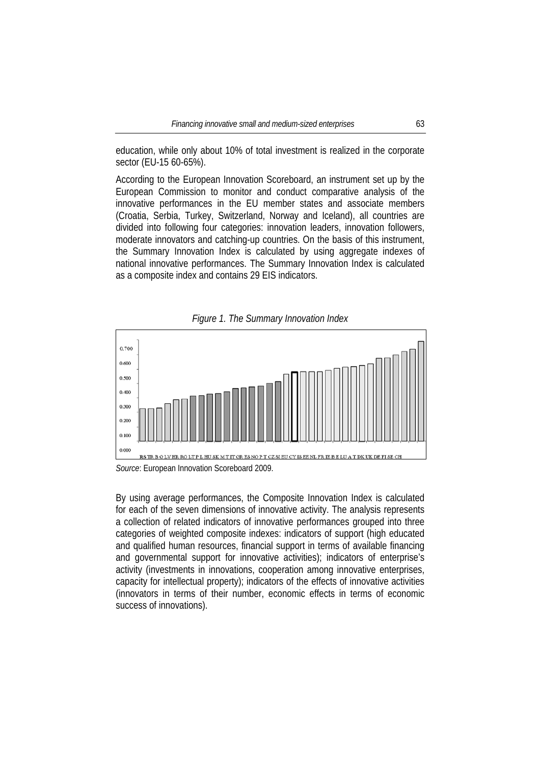education, while only about 10% of total investment is realized in the corporate sector (EU-15 60-65%).

According to the European Innovation Scoreboard, an instrument set up by the European Commission to monitor and conduct comparative analysis of the innovative performances in the EU member states and associate members (Croatia, Serbia, Turkey, Switzerland, Norway and Iceland), all countries are divided into following four categories: innovation leaders, innovation followers, moderate innovators and catching-up countries. On the basis of this instrument, the Summary Innovation Index is calculated by using aggregate indexes of national innovative performances. The Summary Innovation Index is calculated as a composite index and contains 29 EIS indicators.



*Figure 1. The Summary Innovation Index* 

By using average performances, the Composite Innovation Index is calculated for each of the seven dimensions of innovative activity. The analysis represents a collection of related indicators of innovative performances grouped into three categories of weighted composite indexes: indicators of support (high educated and qualified human resources, financial support in terms of available financing and governmental support for innovative activities); indicators of enterprise's activity (investments in innovations, cooperation among innovative enterprises, capacity for intellectual property); indicators of the effects of innovative activities (innovators in terms of their number, economic effects in terms of economic success of innovations).

*Source*: European Innovation Scoreboard 2009.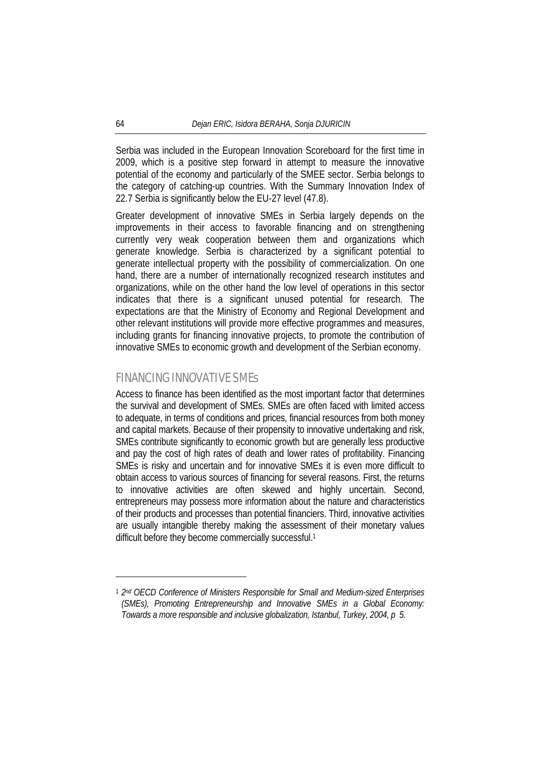Serbia was included in the European Innovation Scoreboard for the first time in 2009, which is a positive step forward in attempt to measure the innovative potential of the economy and particularly of the SMEE sector. Serbia belongs to the category of catching-up countries. With the Summary Innovation Index of 22.7 Serbia is significantly below the EU-27 level (47.8).

Greater development of innovative SMEs in Serbia largely depends on the improvements in their access to favorable financing and on strengthening currently very weak cooperation between them and organizations which generate knowledge. Serbia is characterized by a significant potential to generate intellectual property with the possibility of commercialization. On one hand, there are a number of internationally recognized research institutes and organizations, while on the other hand the low level of operations in this sector indicates that there is a significant unused potential for research. The expectations are that the Ministry of Economy and Regional Development and other relevant institutions will provide more effective programmes and measures, including grants for financing innovative projects, to promote the contribution of innovative SMEs to economic growth and development of the Serbian economy.

# FINANCING INNOVATIVE SMEs

Access to finance has been identified as the most important factor that determines the survival and development of SMEs. SMEs are often faced with limited access to adequate, in terms of conditions and prices, financial resources from both money and capital markets. Because of their propensity to innovative undertaking and risk, SMEs contribute significantly to economic growth but are generally less productive and pay the cost of high rates of death and lower rates of profitability. Financing SMEs is risky and uncertain and for innovative SMEs it is even more difficult to obtain access to various sources of financing for several reasons. First, the returns to innovative activities are often skewed and highly uncertain. Second, entrepreneurs may possess more information about the nature and characteristics of their products and processes than potential financiers. Third, innovative activities are usually intangible thereby making the assessment of their monetary values difficult before they become commercially successful.<sup>1</sup>

<sup>1</sup> *2nd OECD Conference of Ministers Responsible for Small and Medium-sized Enterprises (SMEs), Promoting Entrepreneurship and Innovative SMEs in a Global Economy: Towards a more responsible and inclusive globalization, Istanbul, Turkey, 2004, p 5.*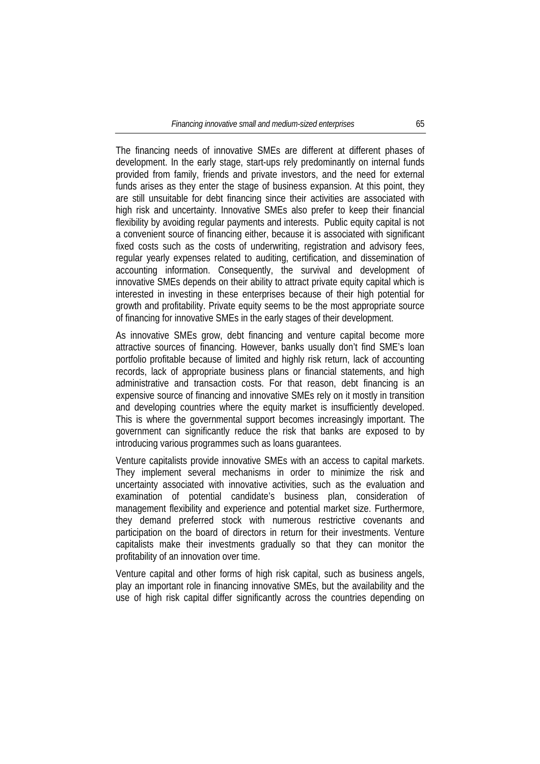The financing needs of innovative SMEs are different at different phases of development. In the early stage, start-ups rely predominantly on internal funds provided from family, friends and private investors, and the need for external funds arises as they enter the stage of business expansion. At this point, they are still unsuitable for debt financing since their activities are associated with high risk and uncertainty. Innovative SMEs also prefer to keep their financial flexibility by avoiding regular payments and interests. Public equity capital is not a convenient source of financing either, because it is associated with significant fixed costs such as the costs of underwriting, registration and advisory fees, regular yearly expenses related to auditing, certification, and dissemination of accounting information. Consequently, the survival and development of innovative SMEs depends on their ability to attract private equity capital which is interested in investing in these enterprises because of their high potential for growth and profitability. Private equity seems to be the most appropriate source of financing for innovative SMEs in the early stages of their development.

As innovative SMEs grow, debt financing and venture capital become more attractive sources of financing. However, banks usually don't find SME's loan portfolio profitable because of limited and highly risk return, lack of accounting records, lack of appropriate business plans or financial statements, and high administrative and transaction costs. For that reason, debt financing is an expensive source of financing and innovative SMEs rely on it mostly in transition and developing countries where the equity market is insufficiently developed. This is where the governmental support becomes increasingly important. The government can significantly reduce the risk that banks are exposed to by introducing various programmes such as loans guarantees.

Venture capitalists provide innovative SMEs with an access to capital markets. They implement several mechanisms in order to minimize the risk and uncertainty associated with innovative activities, such as the evaluation and examination of potential candidate's business plan, consideration of management flexibility and experience and potential market size. Furthermore, they demand preferred stock with numerous restrictive covenants and participation on the board of directors in return for their investments. Venture capitalists make their investments gradually so that they can monitor the profitability of an innovation over time.

Venture capital and other forms of high risk capital, such as business angels, play an important role in financing innovative SMEs, but the availability and the use of high risk capital differ significantly across the countries depending on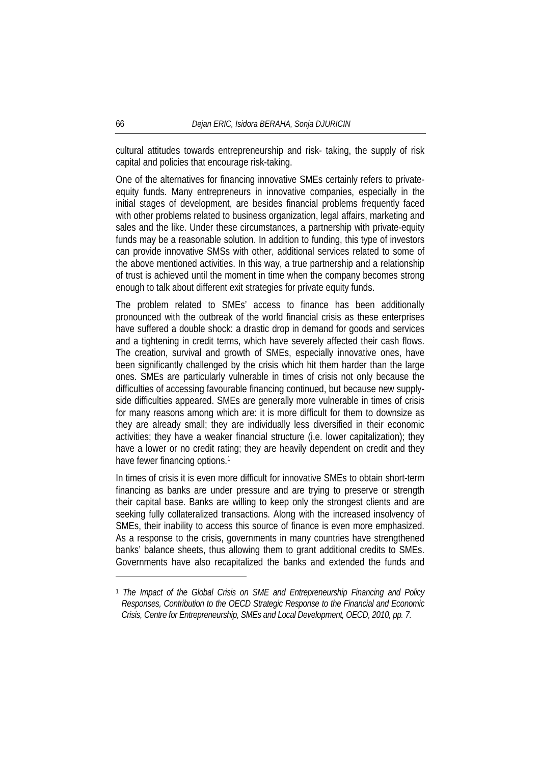cultural attitudes towards entrepreneurship and risk- taking, the supply of risk capital and policies that encourage risk-taking.

One of the alternatives for financing innovative SMEs certainly refers to privateequity funds. Many entrepreneurs in innovative companies, especially in the initial stages of development, are besides financial problems frequently faced with other problems related to business organization, legal affairs, marketing and sales and the like. Under these circumstances, a partnership with private-equity funds may be a reasonable solution. In addition to funding, this type of investors can provide innovative SMSs with other, additional services related to some of the above mentioned activities. In this way, a true partnership and a relationship of trust is achieved until the moment in time when the company becomes strong enough to talk about different exit strategies for private equity funds.

The problem related to SMEs' access to finance has been additionally pronounced with the outbreak of the world financial crisis as these enterprises have suffered a double shock: a drastic drop in demand for goods and services and a tightening in credit terms, which have severely affected their cash flows. The creation, survival and growth of SMEs, especially innovative ones, have been significantly challenged by the crisis which hit them harder than the large ones. SMEs are particularly vulnerable in times of crisis not only because the difficulties of accessing favourable financing continued, but because new supplyside difficulties appeared. SMEs are generally more vulnerable in times of crisis for many reasons among which are: it is more difficult for them to downsize as they are already small; they are individually less diversified in their economic activities; they have a weaker financial structure (i.e. lower capitalization); they have a lower or no credit rating; they are heavily dependent on credit and they have fewer financing options.<sup>1</sup>

In times of crisis it is even more difficult for innovative SMEs to obtain short-term financing as banks are under pressure and are trying to preserve or strength their capital base. Banks are willing to keep only the strongest clients and are seeking fully collateralized transactions. Along with the increased insolvency of SMEs, their inability to access this source of finance is even more emphasized. As a response to the crisis, governments in many countries have strengthened banks' balance sheets, thus allowing them to grant additional credits to SMEs. Governments have also recapitalized the banks and extended the funds and

<sup>1</sup> *The Impact of the Global Crisis on SME and Entrepreneurship Financing and Policy Responses, Contribution to the OECD Strategic Response to the Financial and Economic Crisis, Centre for Entrepreneurship, SMEs and Local Development, OECD, 2010, pp. 7.*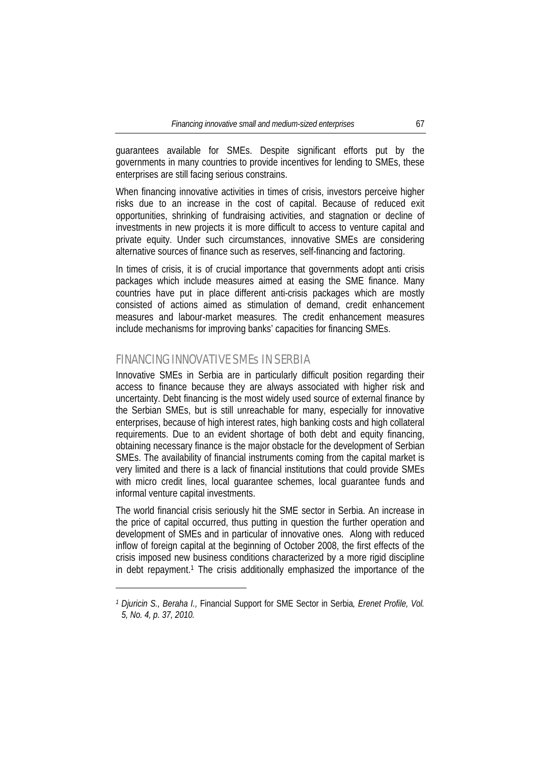guarantees available for SMEs. Despite significant efforts put by the governments in many countries to provide incentives for lending to SMEs, these enterprises are still facing serious constrains.

When financing innovative activities in times of crisis, investors perceive higher risks due to an increase in the cost of capital. Because of reduced exit opportunities, shrinking of fundraising activities, and stagnation or decline of investments in new projects it is more difficult to access to venture capital and private equity. Under such circumstances, innovative SMEs are considering alternative sources of finance such as reserves, self-financing and factoring.

In times of crisis, it is of crucial importance that governments adopt anti crisis packages which include measures aimed at easing the SME finance. Many countries have put in place different anti-crisis packages which are mostly consisted of actions aimed as stimulation of demand, credit enhancement measures and labour-market measures. The credit enhancement measures include mechanisms for improving banks' capacities for financing SMEs.

# FINANCING INNOVATIVE SMEs IN SERBIA

l

Innovative SMEs in Serbia are in particularly difficult position regarding their access to finance because they are always associated with higher risk and uncertainty. Debt financing is the most widely used source of external finance by the Serbian SMEs, but is still unreachable for many, especially for innovative enterprises, because of high interest rates, high banking costs and high collateral requirements. Due to an evident shortage of both debt and equity financing, obtaining necessary finance is the major obstacle for the development of Serbian SMEs. The availability of financial instruments coming from the capital market is very limited and there is a lack of financial institutions that could provide SMEs with micro credit lines, local guarantee schemes, local guarantee funds and informal venture capital investments.

The world financial crisis seriously hit the SME sector in Serbia. An increase in the price of capital occurred, thus putting in question the further operation and development of SMEs and in particular of innovative ones. Along with reduced inflow of foreign capital at the beginning of October 2008, the first effects of the crisis imposed new business conditions characterized by a more rigid discipline in debt repayment.1 The crisis additionally emphasized the importance of the

*<sup>1</sup> Djuricin S., Beraha I.,* Financial Support for SME Sector in Serbia*, Erenet Profile, Vol. 5, No. 4, p. 37, 2010.*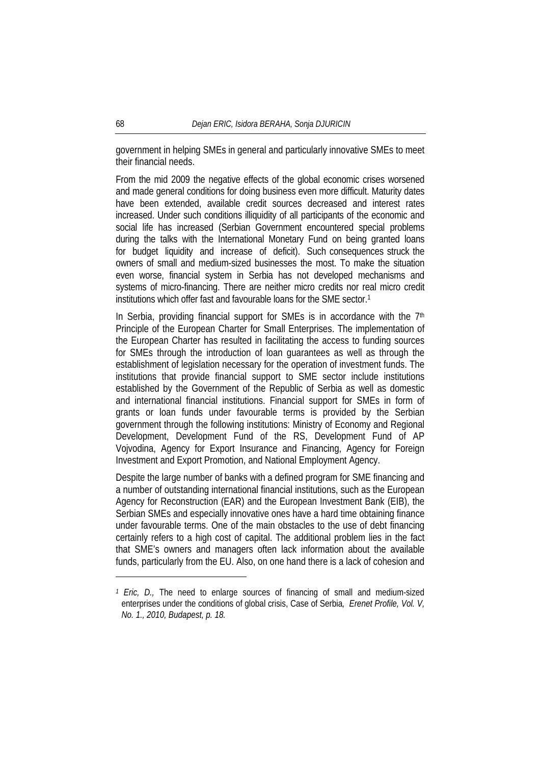government in helping SMEs in general and particularly innovative SMEs to meet their financial needs.

From the mid 2009 the negative effects of the global economic crises worsened and made general conditions for doing business even more difficult. Maturity dates have been extended, available credit sources decreased and interest rates increased. Under such conditions illiquidity of all participants of the economic and social life has increased (Serbian Government encountered special problems during the talks with the International Monetary Fund on being granted loans for budget liquidity and increase of deficit). Such consequences struck the owners of small and medium-sized businesses the most. To make the situation even worse, financial system in Serbia has not developed mechanisms and systems of micro-financing. There are neither micro credits nor real micro credit institutions which offer fast and favourable loans for the SME sector.1

In Serbia, providing financial support for SMEs is in accordance with the  $7<sup>th</sup>$ Principle of the European Charter for Small Enterprises. The implementation of the European Charter has resulted in facilitating the access to funding sources for SMEs through the introduction of loan guarantees as well as through the establishment of legislation necessary for the operation of investment funds. The institutions that provide financial support to SME sector include institutions established by the Government of the Republic of Serbia as well as domestic and international financial institutions. Financial support for SMEs in form of grants or loan funds under favourable terms is provided by the Serbian government through the following institutions: Ministry of Economy and Regional Development, Development Fund of the RS, Development Fund of AP Vojvodina, Agency for Export Insurance and Financing, Agency for Foreign Investment and Export Promotion, and National Employment Agency.

Despite the large number of banks with a defined program for SME financing and a number of outstanding international financial institutions, such as the European Agency for Reconstruction (EAR) and the European Investment Bank (EIB), the Serbian SMEs and especially innovative ones have a hard time obtaining finance under favourable terms. One of the main obstacles to the use of debt financing certainly refers to a high cost of capital. The additional problem lies in the fact that SME's owners and managers often lack information about the available funds, particularly from the EU. Also, on one hand there is a lack of cohesion and

*<sup>1</sup> Eric, D.,* The need to enlarge sources of financing of small and medium-sized enterprises under the conditions of global crisis, Case of Serbia*, Erenet Profile, Vol. V, No. 1., 2010, Budapest, p. 18.*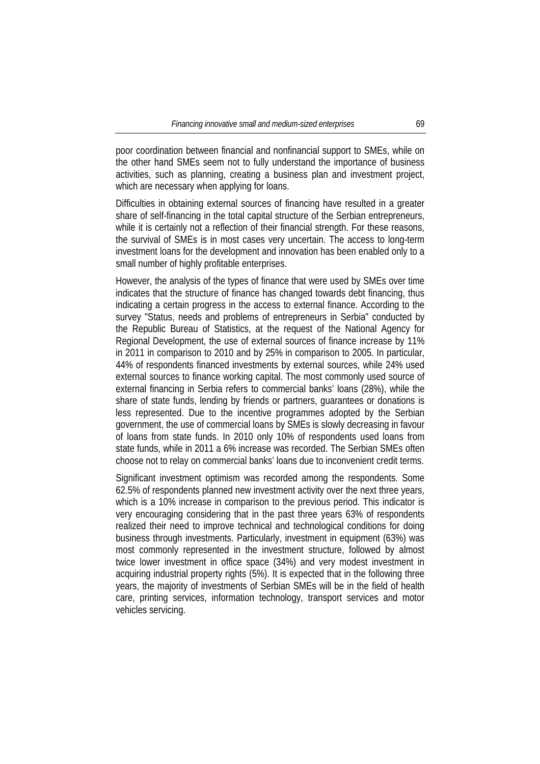poor coordination between financial and nonfinancial support to SMEs, while on the other hand SMEs seem not to fully understand the importance of business activities, such as planning, creating a business plan and investment project, which are necessary when applying for loans.

Difficulties in obtaining external sources of financing have resulted in a greater share of self-financing in the total capital structure of the Serbian entrepreneurs, while it is certainly not a reflection of their financial strength. For these reasons, the survival of SMEs is in most cases very uncertain. The access to long-term investment loans for the development and innovation has been enabled only to a small number of highly profitable enterprises.

However, the analysis of the types of finance that were used by SMEs over time indicates that the structure of finance has changed towards debt financing, thus indicating a certain progress in the access to external finance. According to the survey "Status, needs and problems of entrepreneurs in Serbia" conducted by the Republic Bureau of Statistics, at the request of the National Agency for Regional Development, the use of external sources of finance increase by 11% in 2011 in comparison to 2010 and by 25% in comparison to 2005. In particular, 44% of respondents financed investments by external sources, while 24% used external sources to finance working capital. The most commonly used source of external financing in Serbia refers to commercial banks' loans (28%), while the share of state funds, lending by friends or partners, guarantees or donations is less represented. Due to the incentive programmes adopted by the Serbian government, the use of commercial loans by SMEs is slowly decreasing in favour of loans from state funds. In 2010 only 10% of respondents used loans from state funds, while in 2011 a 6% increase was recorded. The Serbian SMEs often choose not to relay on commercial banks' loans due to inconvenient credit terms.

Significant investment optimism was recorded among the respondents. Some 62.5% of respondents planned new investment activity over the next three years, which is a 10% increase in comparison to the previous period. This indicator is very encouraging considering that in the past three years 63% of respondents realized their need to improve technical and technological conditions for doing business through investments. Particularly, investment in equipment (63%) was most commonly represented in the investment structure, followed by almost twice lower investment in office space (34%) and very modest investment in acquiring industrial property rights (5%). It is expected that in the following three years, the majority of investments of Serbian SMEs will be in the field of health care, printing services, information technology, transport services and motor vehicles servicing.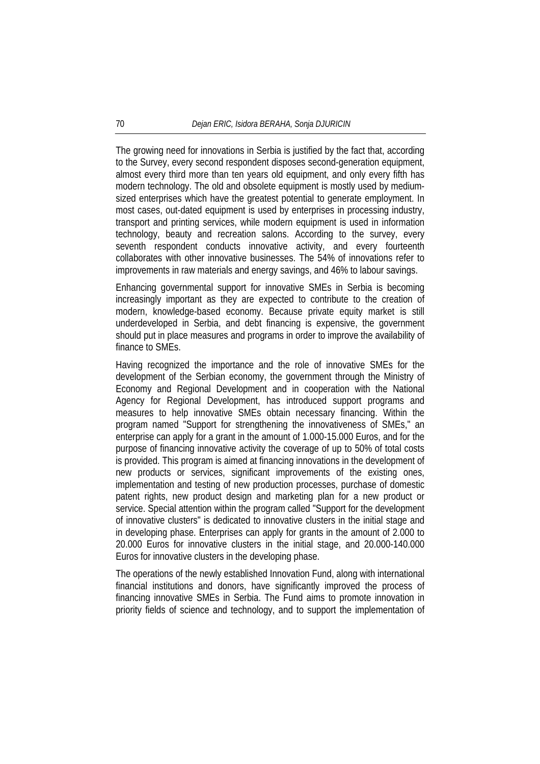The growing need for innovations in Serbia is justified by the fact that, according to the Survey, every second respondent disposes second-generation equipment, almost every third more than ten years old equipment, and only every fifth has modern technology. The old and obsolete equipment is mostly used by mediumsized enterprises which have the greatest potential to generate employment. In most cases, out-dated equipment is used by enterprises in processing industry, transport and printing services, while modern equipment is used in information technology, beauty and recreation salons. According to the survey, every seventh respondent conducts innovative activity, and every fourteenth collaborates with other innovative businesses. The 54% of innovations refer to improvements in raw materials and energy savings, and 46% to labour savings.

Enhancing governmental support for innovative SMEs in Serbia is becoming increasingly important as they are expected to contribute to the creation of modern, knowledge-based economy. Because private equity market is still underdeveloped in Serbia, and debt financing is expensive, the government should put in place measures and programs in order to improve the availability of finance to SMEs.

Having recognized the importance and the role of innovative SMEs for the development of the Serbian economy, the government through the Ministry of Economy and Regional Development and in cooperation with the National Agency for Regional Development, has introduced support programs and measures to help innovative SMEs obtain necessary financing. Within the program named "Support for strengthening the innovativeness of SMEs," an enterprise can apply for a grant in the amount of 1.000-15.000 Euros, and for the purpose of financing innovative activity the coverage of up to 50% of total costs is provided. This program is aimed at financing innovations in the development of new products or services, significant improvements of the existing ones, implementation and testing of new production processes, purchase of domestic patent rights, new product design and marketing plan for a new product or service. Special attention within the program called "Support for the development of innovative clusters" is dedicated to innovative clusters in the initial stage and in developing phase. Enterprises can apply for grants in the amount of 2.000 to 20.000 Euros for innovative clusters in the initial stage, and 20.000-140.000 Euros for innovative clusters in the developing phase.

The operations of the newly established Innovation Fund, along with international financial institutions and donors, have significantly improved the process of financing innovative SMEs in Serbia. The Fund aims to promote innovation in priority fields of science and technology, and to support the implementation of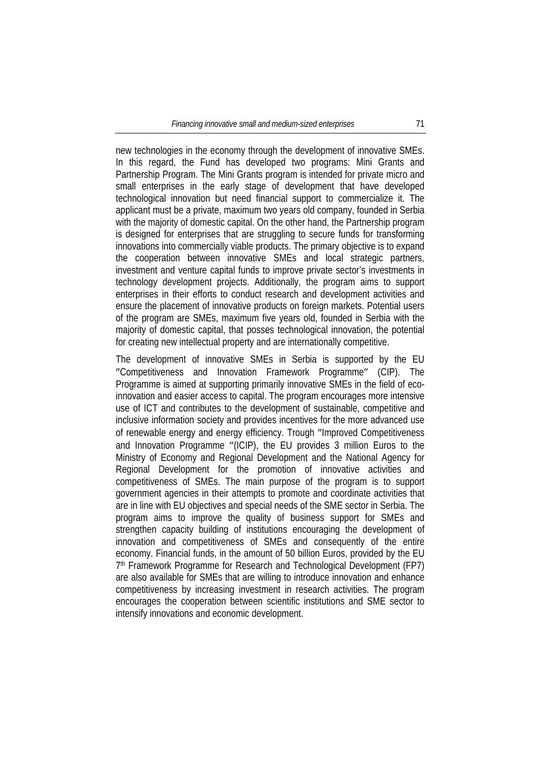new technologies in the economy through the development of innovative SMEs. In this regard, the Fund has developed two programs: Mini Grants and Partnership Program. The Mini Grants program is intended for private micro and small enterprises in the early stage of development that have developed technological innovation but need financial support to commercialize it. The applicant must be a private, maximum two years old company, founded in Serbia with the majority of domestic capital. On the other hand, the Partnership program is designed for enterprises that are struggling to secure funds for transforming innovations into commercially viable products. The primary objective is to expand the cooperation between innovative SMEs and local strategic partners, investment and venture capital funds to improve private sector's investments in technology development projects. Additionally, the program aims to support enterprises in their efforts to conduct research and development activities and ensure the placement of innovative products on foreign markets. Potential users of the program are SMEs, maximum five years old, founded in Serbia with the majority of domestic capital, that posses technological innovation, the potential for creating new intellectual property and are internationally competitive.

The development of innovative SMEs in Serbia is supported by the EU ″Competitiveness and Innovation Framework Programme″ (CIP). The Programme is aimed at supporting primarily innovative SMEs in the field of ecoinnovation and easier access to capital. The program encourages more intensive use of ICT and contributes to the development of sustainable, competitive and inclusive information society and provides incentives for the more advanced use of renewable energy and energy efficiency. Trough ″Improved Competitiveness and Innovation Programme ″(ICIP), the EU provides 3 million Euros to the Ministry of Economy and Regional Development and the National Agency for Regional Development for the promotion of innovative activities and competitiveness of SMEs. The main purpose of the program is to support government agencies in their attempts to promote and coordinate activities that are in line with EU objectives and special needs of the SME sector in Serbia. The program aims to improve the quality of business support for SMEs and strengthen capacity building of institutions encouraging the development of innovation and competitiveness of SMEs and consequently of the entire economy. Financial funds, in the amount of 50 billion Euros, provided by the EU 7th Framework Programme for Research and Technological Development (FP7) are also available for SMEs that are willing to introduce innovation and enhance competitiveness by increasing investment in research activities. The program encourages the cooperation between scientific institutions and SME sector to intensify innovations and economic development.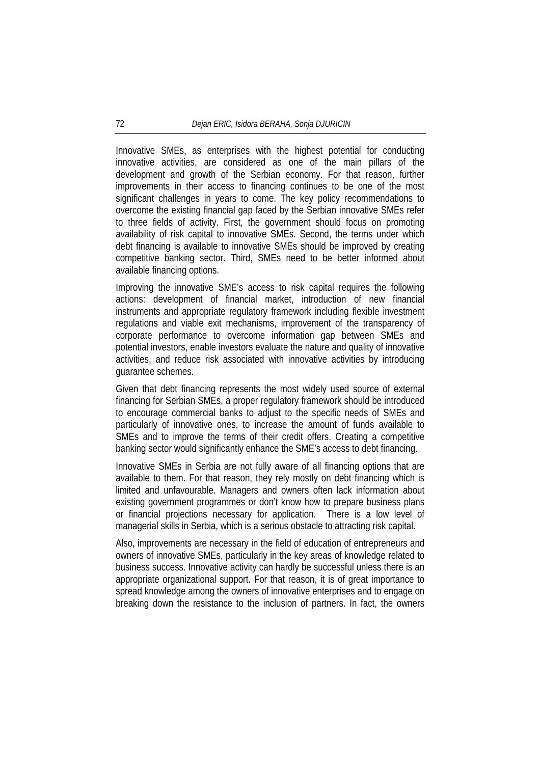Innovative SMEs, as enterprises with the highest potential for conducting innovative activities, are considered as one of the main pillars of the development and growth of the Serbian economy. For that reason, further improvements in their access to financing continues to be one of the most significant challenges in years to come. The key policy recommendations to overcome the existing financial gap faced by the Serbian innovative SMEs refer to three fields of activity. First, the government should focus on promoting availability of risk capital to innovative SMEs. Second, the terms under which debt financing is available to innovative SMEs should be improved by creating competitive banking sector. Third, SMEs need to be better informed about available financing options.

Improving the innovative SME's access to risk capital requires the following actions: development of financial market, introduction of new financial instruments and appropriate regulatory framework including flexible investment regulations and viable exit mechanisms, improvement of the transparency of corporate performance to overcome information gap between SMEs and potential investors, enable investors evaluate the nature and quality of innovative activities, and reduce risk associated with innovative activities by introducing guarantee schemes.

Given that debt financing represents the most widely used source of external financing for Serbian SMEs, a proper regulatory framework should be introduced to encourage commercial banks to adjust to the specific needs of SMEs and particularly of innovative ones, to increase the amount of funds available to SMEs and to improve the terms of their credit offers. Creating a competitive banking sector would significantly enhance the SME's access to debt financing.

Innovative SMEs in Serbia are not fully aware of all financing options that are available to them. For that reason, they rely mostly on debt financing which is limited and unfavourable. Managers and owners often lack information about existing government programmes or don't know how to prepare business plans or financial projections necessary for application. There is a low level of managerial skills in Serbia, which is a serious obstacle to attracting risk capital.

Also, improvements are necessary in the field of education of entrepreneurs and owners of innovative SMEs, particularly in the key areas of knowledge related to business success. Innovative activity can hardly be successful unless there is an appropriate organizational support. For that reason, it is of great importance to spread knowledge among the owners of innovative enterprises and to engage on breaking down the resistance to the inclusion of partners. In fact, the owners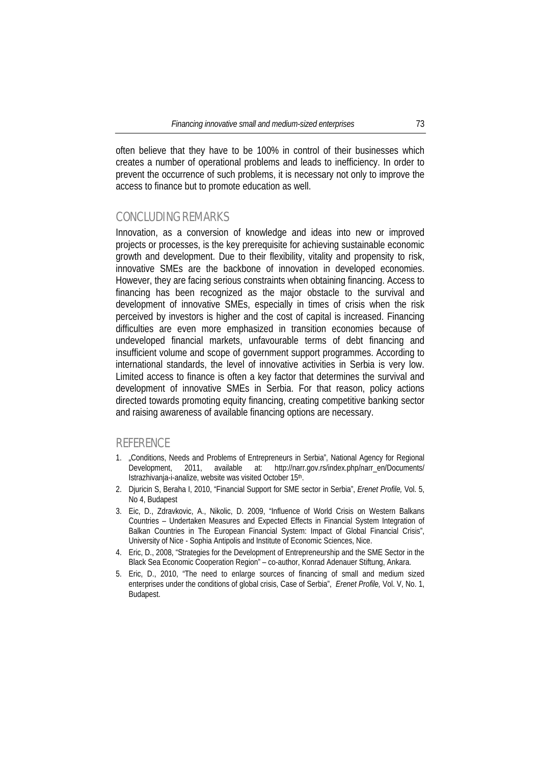often believe that they have to be 100% in control of their businesses which creates a number of operational problems and leads to inefficiency. In order to prevent the occurrence of such problems, it is necessary not only to improve the access to finance but to promote education as well.

### CONCLUDING REMARKS

Innovation, as a conversion of knowledge and ideas into new or improved projects or processes, is the key prerequisite for achieving sustainable economic growth and development. Due to their flexibility, vitality and propensity to risk, innovative SMEs are the backbone of innovation in developed economies. However, they are facing serious constraints when obtaining financing. Access to financing has been recognized as the major obstacle to the survival and development of innovative SMEs, especially in times of crisis when the risk perceived by investors is higher and the cost of capital is increased. Financing difficulties are even more emphasized in transition economies because of undeveloped financial markets, unfavourable terms of debt financing and insufficient volume and scope of government support programmes. According to international standards, the level of innovative activities in Serbia is very low. Limited access to finance is often a key factor that determines the survival and development of innovative SMEs in Serbia. For that reason, policy actions directed towards promoting equity financing, creating competitive banking sector and raising awareness of available financing options are necessary.

### **REFERENCE**

- 1. "Conditions, Needs and Problems of Entrepreneurs in Serbia", National Agency for Regional Development, 2011, available at: http://narr.gov.rs/index.php/narr\_en/Documents/ Istrazhivanja-i-analize, website was visited October 15th.
- 2. Djuricin S, Beraha I, 2010, "Financial Support for SME sector in Serbia", *Erenet Profile,* Vol. 5, No 4, Budapest
- 3. Eic, D., Zdravkovic, A., Nikolic, D. 2009, "Influence of World Crisis on Western Balkans Countries – Undertaken Measures and Expected Effects in Financial System Integration of Balkan Countries in The European Financial System: Impact of Global Financial Crisis", University of Nice - Sophia Antipolis and Institute of Economic Sciences, Nice.
- 4. Eric, D., 2008, "Strategies for the Development of Entrepreneurship and the SME Sector in the Black Sea Economic Cooperation Region" – co-author, Konrad Adenauer Stiftung, Ankara.
- 5. Eric, D., 2010, "The need to enlarge sources of financing of small and medium sized enterprises under the conditions of global crisis, Case of Serbia", *Erenet Profile,* Vol. V, No. 1, Budapest.